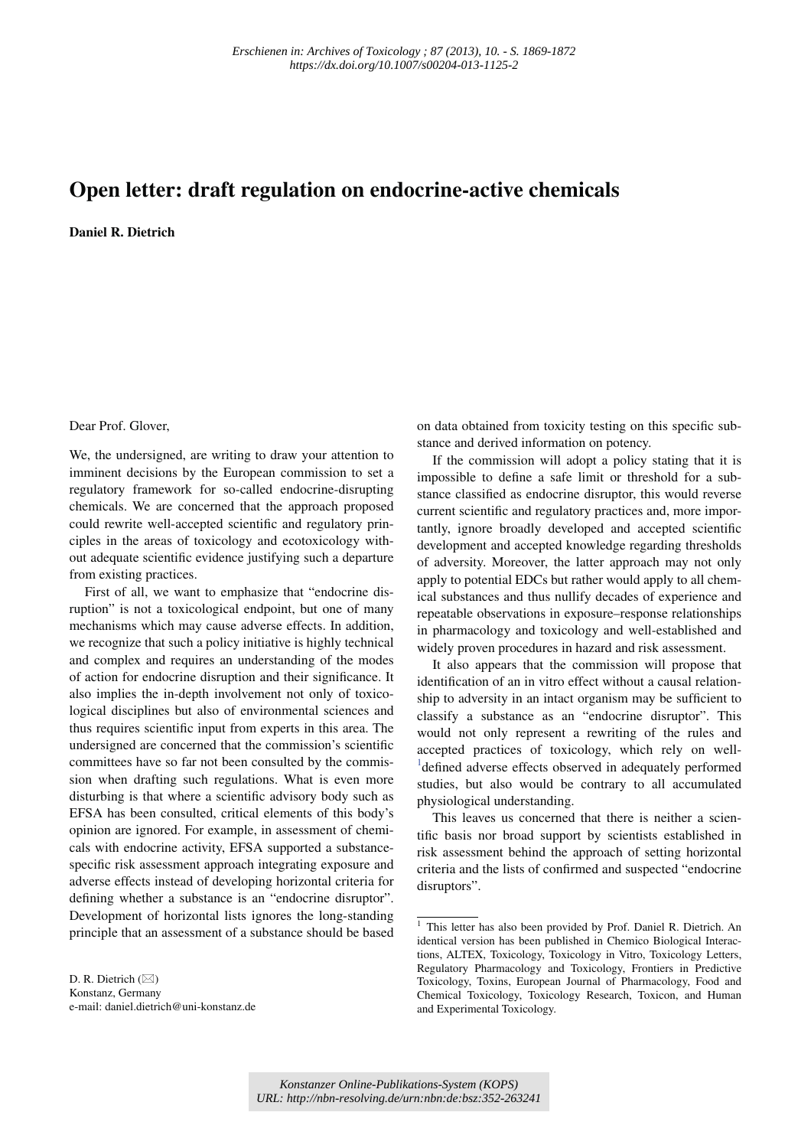## **Open letter: draft regulation on endocrine-active chemicals**

**Daniel R. Dietrich** 

## Dear Prof. Glover,

We, the undersigned, are writing to draw your attention to imminent decisions by the European commission to set a regulatory framework for so-called endocrine-disrupting chemicals. We are concerned that the approach proposed could rewrite well-accepted scientific and regulatory princhemicals. We are concerned that the approach proposed ciples in the areas of toxicology and ecotoxicology without adequate scientific evidence justifying such a departure from existing practices.

First of all, we want to emphasize that "endocrine disruption" is not a toxicological endpoint, but one of many mechanisms which may cause adverse effects. In addition, we recognize that such a policy initiative is highly technical and complex and requires an understanding of the modes of action for endocrine disruption and their significance. It also implies the in-depth involvement not only of toxicological disciplines but also of environmental sciences and thus requires scientific input from experts in this area. The undersigned are concerned that the commission's scientific committees have so far not been consulted by the commission when drafting such regulations. What is even more disturbing is that where a scientific advisory body such as EFSA has been consulted, critical elements of this body's opinion are ignored. For example, in assessment of chemicals with endocrine activity, EFSA supported a substancespecific risk assessment approach integrating exposure and adverse effects instead of developing horizontal criteria for defining whether a substance is an "endocrine disruptor". Development of horizontal lists ignores the long‐standing principle that an assessment of a substance should be based

on data obtained from toxicity testing on this specific substance and derived information on potency.

If the commission will adopt a policy stating that it is impossible to define a safe limit or threshold for a substance classified as endocrine disruptor, this would reverse current scientific and regulatory practices and, more importantly, ignore broadly developed and accepted scientific development and accepted knowledge regarding thresholds of adversity. Moreover, the latter approach may not only apply to potential EDCs but rather would apply to all chemical substances and thus nullify decades of experience and repeatable observations in exposure–response relationships in pharmacology and toxicology and well-established and widely proven procedures in hazard and risk assessment.

It also appears that the commission will propose that identification of an in vitro effect without a causal relationship to adversity in an intact organism may be sufficient to classify a substance as an "endocrine disruptor". This would not only represent a rewriting of the rules and accepted practices of toxicology, which rely on well-<sup>1</sup>defined adverse effects observed in adequately performed studies, but also would be contrary to all accumulated physiological understanding.

This leaves us concerned that there is neither a scientific basis nor broad support by scientists established in risk assessment behind the approach of setting horizontal criteria and the lists of confirmed and suspected "endocrine disruptors".

D. R. Dietrich  $(\boxtimes)$ Konstanz, Germany e-mail: daniel.dietrich@uni-konstanz.de

<sup>&</sup>lt;sup>1</sup> This letter has also been provided by Prof. Daniel R. Dietrich. An identical version has been published in Chemico Biological Interactions, ALTEX, Toxicology, Toxicology in Vitro, Toxicology Letters, Regulatory Pharmacology and Toxicology, Frontiers in Predictive Toxicology, Toxins, European Journal of Pharmacology, Food and Chemical Toxicology, Toxicology Research, Toxicon, and Human and Experimental Toxicology.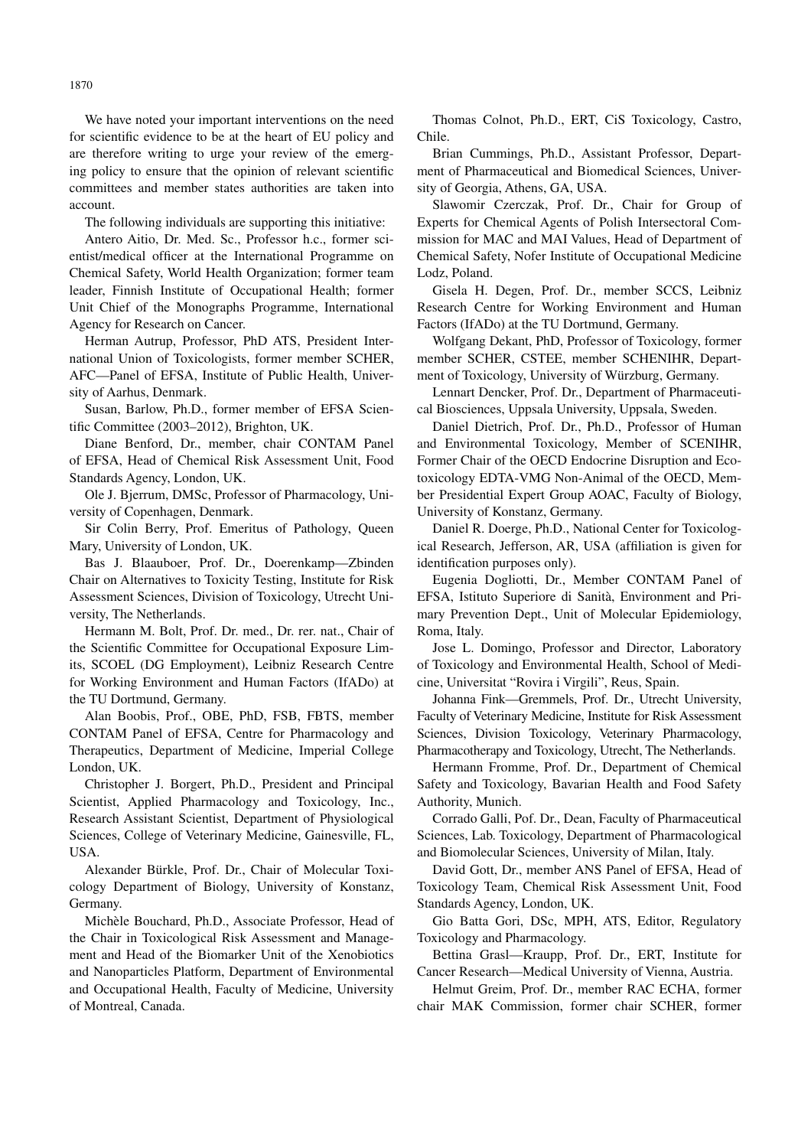We have noted your important interventions on the need for scientific evidence to be at the heart of EU policy and are therefore writing to urge your review of the emerging policy to ensure that the opinion of relevant scientific committees and member states authorities are taken into account.

The following individuals are supporting this initiative:

Antero Aitio, Dr. Med. Sc., Professor h.c., former scientist/medical officer at the International Programme on Chemical Safety, World Health Organization; former team leader, Finnish Institute of Occupational Health; former Unit Chief of the Monographs Programme, International Agency for Research on Cancer.

Herman Autrup, Professor, PhD ATS, President International Union of Toxicologists, former member SCHER, AFC—Panel of EFSA, Institute of Public Health, University of Aarhus, Denmark.

Susan, Barlow, Ph.D., former member of EFSA Scientific Committee (2003–2012), Brighton, UK.

Diane Benford, Dr., member, chair CONTAM Panel of EFSA, Head of Chemical Risk Assessment Unit, Food Standards Agency, London, UK.

Ole J. Bjerrum, DMSc, Professor of Pharmacology, University of Copenhagen, Denmark.

Sir Colin Berry, Prof. Emeritus of Pathology, Queen Mary, University of London, UK.

Bas J. Blaauboer, Prof. Dr., Doerenkamp—Zbinden Chair on Alternatives to Toxicity Testing, Institute for Risk Assessment Sciences, Division of Toxicology, Utrecht University, The Netherlands.

Hermann M. Bolt, Prof. Dr. med., Dr. rer. nat., Chair of the Scientific Committee for Occupational Exposure Limits, SCOEL (DG Employment), Leibniz Research Centre for Working Environment and Human Factors (IfADo) at the TU Dortmund, Germany.

Alan Boobis, Prof., OBE, PhD, FSB, FBTS, member CONTAM Panel of EFSA, Centre for Pharmacology and Therapeutics, Department of Medicine, Imperial College London, UK.

Christopher J. Borgert, Ph.D., President and Principal Scientist, Applied Pharmacology and Toxicology, Inc., Research Assistant Scientist, Department of Physiological Sciences, College of Veterinary Medicine, Gainesville, FL, USA.

Alexander Bürkle, Prof. Dr., Chair of Molecular Toxicology Department of Biology, University of Konstanz, Germany.

Michèle Bouchard, Ph.D., Associate Professor, Head of the Chair in Toxicological Risk Assessment and Management and Head of the Biomarker Unit of the Xenobiotics and Nanoparticles Platform, Department of Environmental and Occupational Health, Faculty of Medicine, University of Montreal, Canada.

Thomas Colnot, Ph.D., ERT, CiS Toxicology, Castro, Chile.

Brian Cummings, Ph.D., Assistant Professor, Department of Pharmaceutical and Biomedical Sciences, University of Georgia, Athens, GA, USA.

Slawomir Czerczak, Prof. Dr., Chair for Group of Experts for Chemical Agents of Polish Intersectoral Commission for MAC and MAI Values, Head of Department of Chemical Safety, Nofer Institute of Occupational Medicine Lodz, Poland.

Gisela H. Degen, Prof. Dr., member SCCS, Leibniz Research Centre for Working Environment and Human Factors (IfADo) at the TU Dortmund, Germany.

Wolfgang Dekant, PhD, Professor of Toxicology, former member SCHER, CSTEE, member SCHENIHR, Department of Toxicology, University of Würzburg, Germany.

Lennart Dencker, Prof. Dr., Department of Pharmaceutical Biosciences, Uppsala University, Uppsala, Sweden.

Daniel Dietrich, Prof. Dr., Ph.D., Professor of Human and Environmental Toxicology, Member of SCENIHR, Former Chair of the OECD Endocrine Disruption and Ecotoxicology EDTA-VMG Non-Animal of the OECD, Member Presidential Expert Group AOAC, Faculty of Biology, University of Konstanz, Germany.

Daniel R. Doerge, Ph.D., National Center for Toxicological Research, Jefferson, AR, USA (affiliation is given for identification purposes only).

Eugenia Dogliotti, Dr., Member CONTAM Panel of EFSA, Istituto Superiore di Sanità, Environment and Primary Prevention Dept., Unit of Molecular Epidemiology, Roma, Italy.

Jose L. Domingo, Professor and Director, Laboratory of Toxicology and Environmental Health, School of Medicine, Universitat "Rovira i Virgili", Reus, Spain.

Johanna Fink—Gremmels, Prof. Dr., Utrecht University, Faculty of Veterinary Medicine, Institute for Risk Assessment Sciences, Division Toxicology, Veterinary Pharmacology, Pharmacotherapy and Toxicology, Utrecht, The Netherlands.

Hermann Fromme, Prof. Dr., Department of Chemical Safety and Toxicology, Bavarian Health and Food Safety Authority, Munich.

Corrado Galli, Pof. Dr., Dean, Faculty of Pharmaceutical Sciences, Lab. Toxicology, Department of Pharmacological and Biomolecular Sciences, University of Milan, Italy.

David Gott, Dr., member ANS Panel of EFSA, Head of Toxicology Team, Chemical Risk Assessment Unit, Food Standards Agency, London, UK.

Gio Batta Gori, DSc, MPH, ATS, Editor, Regulatory Toxicology and Pharmacology.

Bettina Grasl—Kraupp, Prof. Dr., ERT, Institute for Cancer Research—Medical University of Vienna, Austria.

Helmut Greim, Prof. Dr., member RAC ECHA, former chair MAK Commission, former chair SCHER, former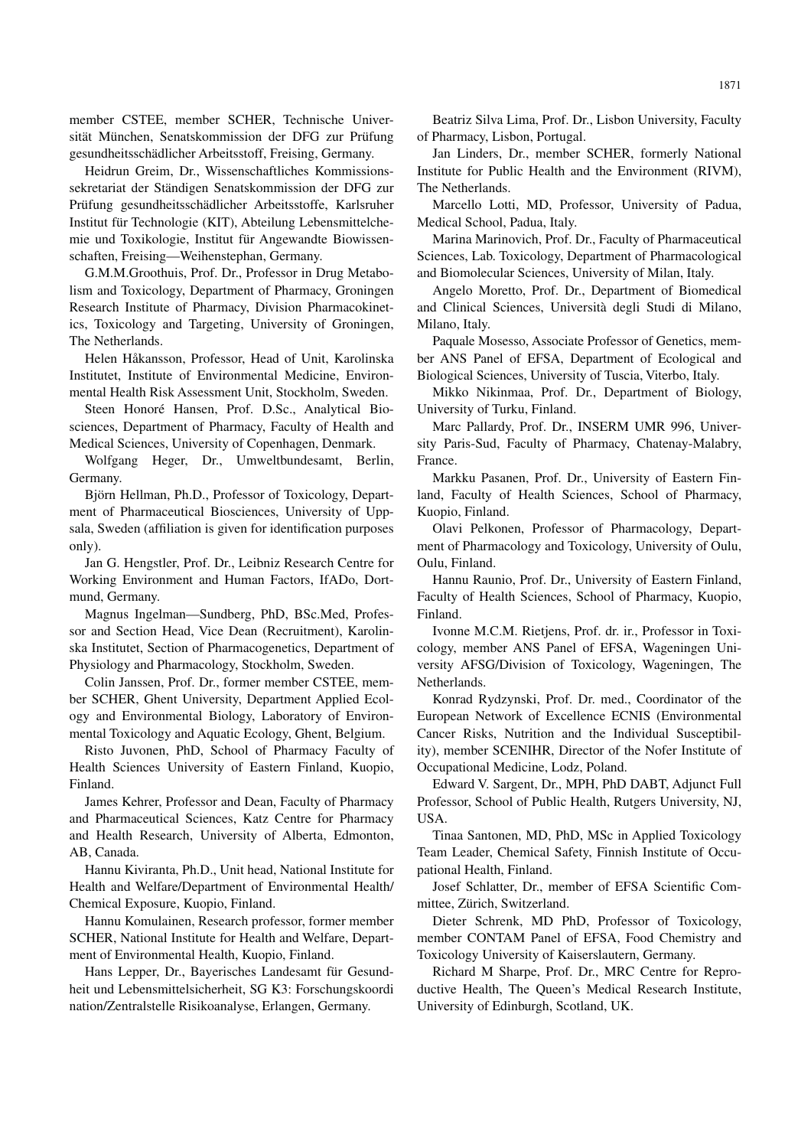member CSTEE, member SCHER, Technische Universität München, Senatskommission der DFG zur Prüfung gesundheitsschädlicher Arbeitsstoff, Freising, Germany.

Heidrun Greim, Dr., Wissenschaftliches Kommissionssekretariat der Ständigen Senatskommission der DFG zur Prüfung gesundheitsschädlicher Arbeitsstoffe, Karlsruher Institut für Technologie (KIT), Abteilung Lebensmittelchemie und Toxikologie, Institut für Angewandte Biowissenschaften, Freising—Weihenstephan, Germany.

G.M.M.Groothuis, Prof. Dr., Professor in Drug Metabolism and Toxicology, Department of Pharmacy, Groningen Research Institute of Pharmacy, Division Pharmacokinetics, Toxicology and Targeting, University of Groningen, The Netherlands.

Helen Håkansson, Professor, Head of Unit, Karolinska Institutet, Institute of Environmental Medicine, Environmental Health Risk Assessment Unit, Stockholm, Sweden.

Steen Honoré Hansen, Prof. D.Sc., Analytical Biosciences, Department of Pharmacy, Faculty of Health and Medical Sciences, University of Copenhagen, Denmark.

Wolfgang Heger, Dr., Umweltbundesamt, Berlin, Germany.

Björn Hellman, Ph.D., Professor of Toxicology, Department of Pharmaceutical Biosciences, University of Uppsala, Sweden (affiliation is given for identification purposes only).

Jan G. Hengstler, Prof. Dr., Leibniz Research Centre for Working Environment and Human Factors, IfADo, Dortmund, Germany.

Magnus Ingelman—Sundberg, PhD, BSc.Med, Professor and Section Head, Vice Dean (Recruitment), Karolinska Institutet, Section of Pharmacogenetics, Department of Physiology and Pharmacology, Stockholm, Sweden.

Colin Janssen, Prof. Dr., former member CSTEE, member SCHER, Ghent University, Department Applied Ecology and Environmental Biology, Laboratory of Environmental Toxicology and Aquatic Ecology, Ghent, Belgium.

Risto Juvonen, PhD, School of Pharmacy Faculty of Health Sciences University of Eastern Finland, Kuopio, Finland.

James Kehrer, Professor and Dean, Faculty of Pharmacy and Pharmaceutical Sciences, Katz Centre for Pharmacy and Health Research, University of Alberta, Edmonton, AB, Canada.

Hannu Kiviranta, Ph.D., Unit head, National Institute for Health and Welfare/Department of Environmental Health/ Chemical Exposure, Kuopio, Finland.

Hannu Komulainen, Research professor, former member SCHER, National Institute for Health and Welfare, Department of Environmental Health, Kuopio, Finland.

Hans Lepper, Dr., Bayerisches Landesamt für Gesundheit und Lebensmittelsicherheit, SG K3: Forschungskoordi nation/Zentralstelle Risikoanalyse, Erlangen, Germany.

Beatriz Silva Lima, Prof. Dr., Lisbon University, Faculty of Pharmacy, Lisbon, Portugal.

Jan Linders, Dr., member SCHER, formerly National Institute for Public Health and the Environment (RIVM), The Netherlands.

Marcello Lotti, MD, Professor, University of Padua, Medical School, Padua, Italy.

Marina Marinovich, Prof. Dr., Faculty of Pharmaceutical Sciences, Lab. Toxicology, Department of Pharmacological and Biomolecular Sciences, University of Milan, Italy.

Angelo Moretto, Prof. Dr., Department of Biomedical and Clinical Sciences, Università degli Studi di Milano, Milano, Italy.

Paquale Mosesso, Associate Professor of Genetics, member ANS Panel of EFSA, Department of Ecological and Biological Sciences, University of Tuscia, Viterbo, Italy.

Mikko Nikinmaa, Prof. Dr., Department of Biology, University of Turku, Finland.

Marc Pallardy, Prof. Dr., INSERM UMR 996, University Paris-Sud, Faculty of Pharmacy, Chatenay-Malabry, France.

Markku Pasanen, Prof. Dr., University of Eastern Finland, Faculty of Health Sciences, School of Pharmacy, Kuopio, Finland.

Olavi Pelkonen, Professor of Pharmacology, Department of Pharmacology and Toxicology, University of Oulu, Oulu, Finland.

Hannu Raunio, Prof. Dr., University of Eastern Finland, Faculty of Health Sciences, School of Pharmacy, Kuopio, Finland.

Ivonne M.C.M. Rietjens, Prof. dr. ir., Professor in Toxicology, member ANS Panel of EFSA, Wageningen University AFSG/Division of Toxicology, Wageningen, The Netherlands.

Konrad Rydzynski, Prof. Dr. med., Coordinator of the European Network of Excellence ECNIS (Environmental Cancer Risks, Nutrition and the Individual Susceptibility), member SCENIHR, Director of the Nofer Institute of Occupational Medicine, Lodz, Poland.

Edward V. Sargent, Dr., MPH, PhD DABT, Adjunct Full Professor, School of Public Health, Rutgers University, NJ, USA.

Tinaa Santonen, MD, PhD, MSc in Applied Toxicology Team Leader, Chemical Safety, Finnish Institute of Occupational Health, Finland.

Josef Schlatter, Dr., member of EFSA Scientific Committee, Zürich, Switzerland.

Dieter Schrenk, MD PhD, Professor of Toxicology, member CONTAM Panel of EFSA, Food Chemistry and Toxicology University of Kaiserslautern, Germany.

Richard M Sharpe, Prof. Dr., MRC Centre for Reproductive Health, The Queen's Medical Research Institute, University of Edinburgh, Scotland, UK.